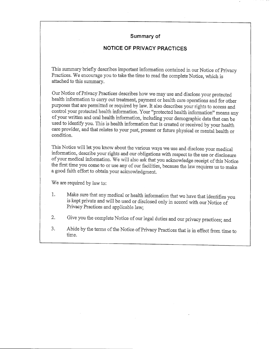# **Summary of**

# **NOTICE OF PRIVACY PRACTICES**

This summary briefly describes important information contained in our Notice of Privacy Practices. We encourage you to take the time to read the complete Notice, which is  $attached$  to this summary.

Our Notice of Privacy Practices describes how we may use and disclose your protected health information to carry out treatment, payment or health care operations and for other purposes that are permitted or required by law. It also describes your rights to access and control your protected health information. Your "protected health information" means any of your written and oral health information, including your demographic data that can be used to identify you. This is health information that is created or received by your health care provider, and that relates to your past, present or future physical or mental health or condition.

This Notice will let you know about the various ways we use and disclose your medical information, describe your rights and our obligations with respect to the use or disclosure of your medical information. We will also ask that you acknowledge receipt of this Notice the first time you come to or use any of our facilities, because the law requires us to make a good faith effort to obtain your acknowledgment.

We are required by law to:

- 1. Make sure that any medical or health information that we have that identifies you is kept private and will be used or disclosed only in accord with our Notice of Privacy Practices and applicable law;
- 2. Give you the complete Notice of our legal duties and our privacy practices; and
- 3. Abide by the terms of the Notice of Privacy Practices that is in effect from time to time.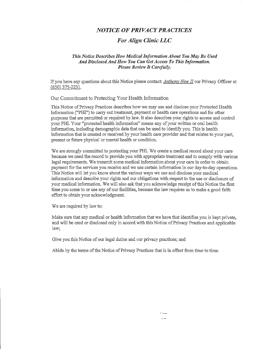# *NOTICE OF PRIVACY PRACTICES*

## *For Align Clinic LLC*

#### *Tliis Notice Describes How Medical Information About You May Be Used* And Disclosed And How You Can Get Access To This Information. *Please Review It Carefully.*

If you have any questions about this Notice please contact: *Anthony New II* our Privacy Officer at (650)375-2231.

Our Commitment to Protecting Your Health Information

This Notice of Privacy Practices describes how we may use and disclose your Protected Health Information ("PHI") to carry out treatment, payment or health care operations and for other purposes that are permitted or required by law. It also describes your rights to access and control your PHI. Your "protected health information" means any of your written or oral health information, including demographic data that can be used to identify you. This is health information that is created or received by your health care provider and that relates to your past, present or future physical or mental health or condition.

We are strongly committed to protecting your PHI. We create a medical record about your care because we need the record to provide you with appropriate treatment and to comply with various legal requirements. We transmit some medical information about your care in order to obtain payment for the services you receive and we use certain information in our day-to-day operations. This Notice will let you know about the various ways we use and disclose your medical information and describe your rights and our obligations with respect to the use or disclosure of your medical information. We will also ask that you acknowledge receipt of this Notice the first time you come to or use any of our facilities, because the law requires us to make a good faith effort to obtain your acknowledgment.

We are required by law to:

Make sure that any medical or health information that we have that identifies you is kept private, and will be used or disclosed only in accord with this Notice of Privacy Practices and applicable law;

 $-$ 

Give you this Notice of our legal duties and our privacy practices; and

Abide by the terms of the Notice of Privacy Practices that is in effect from time to time.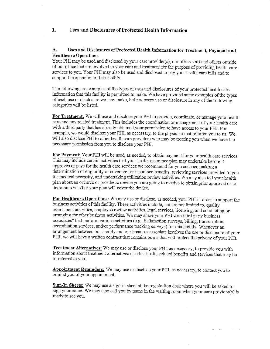## **1. Uses and Disclosures of Protected Health Information**

### A. Uses **and Disclosures of Protected Health Information for Treatment, Payment and Healthcare Operations**

Your PHI may be used and disclosed by your care provider(s), our office staff and others outside of our office that are involved in your care and treatment for the purpose of providing health care services to you. Your PHI may also be used and disclosed to pay your health care bills and to support the operation of this facility.

The following are examples of the types of uses and disclosures of your protected health care information that this facility is permitted to make. We have provided some examples of the types of each use or disclosure we may make, but not every use or disclosure in any of the following categories will be listed.

**For Treatment:** We will use and disclose your PHI to provide, coordinate, or manage your health care and any related treatment. This includes the coordination or management of your health care with a third party that has already obtained your permission to have access to your PHI. For example, we would disclose your PHI, as necessary, to the physician that referred you to us. We will also disclose PHI to other health care providers who may be treating you when we have the necessary permission from you to disclose your PHI.

**For Payment:** Your PHI will be used, as needed, to obtain payment for your health care services. This may include certain activities that your health insurance plan may undertake before it approves or pays for the health care services we recommend for you such as; making a determination of eligibility or coverage for insurance benefits, reviewing services provided to you for medical necessity, and undertaking utilization review activities. We may also tell your health plan about an orthotic or prosthetic device you are going to receive to obtain prior approval or to determine whether your plan will cover the device.

**For Healthcare Operations:** We may use or disclose, as needed, your PHI in order to support the business activities of this facility. These activities include, but are not limited to, quality assessment activities, employee review activities, legal services, licensing, and conducting or arranging for other business activities. We may share your PHI with third party business associates" that perform various activities (e.g., Satisfaction surveys, billing, transcription, accreditation services, and/or performance tracking surveys) for this facility. Whenever an arrangement between our facility and our business associate involves the use or disclosure ofyour PHI, we will have a written contract that contains terms that will protect the privacy of your PHI.

**Treatment Alternatives:** We may use or disclose your PHI, as necessary, to provide you with information about treatment alternatives or other health-related benefits and services that may be of interest to you.

**Appointment Reminders:** We may use or disclose your PHI, as necessary, to contact you to remind you of your appointment.

**Sign-In Sheets:** We may use a sign-in sheet at the registration desk where you will be asked to sign your name. We may also call you by name in the waiting room when your care provider(s) is ready to see you.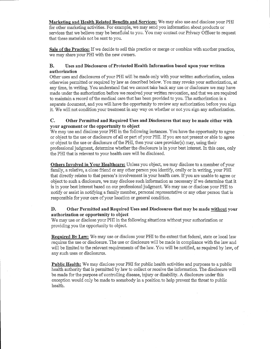**Marketing and Health Related Benefits and Services:** We may also use and disclose your PHI for other marketing activities. For example, we may send you information about products or services that we believe may be beneficial to you. You may contact our Privacy Officer to request that these materials not be sent to you.

**Sale of the Practice:** If we decide to sell this practice or merge or combine with another practice, we may share your PHI with the new owners.

#### B. Uses **and Disclosures of Protected Health Information based upon your written authorization**

Other uses and disclosures of your PHI will be made only with your written authorization, unless otherwise permitted or required by law as described below. You may revoke your authorization, at any time, in writing. You. understand that we cannot take back any use or disclosure we may have made under the authorization before we received your written revocation, and that we are required to maintain a record of the medical care that has been provided to you. The authorization is a separate document, and you will have the opportunity to review any authorization before you sign it. We will not condition your treatment in any way on whether or not you sign any authorization.

#### **C. Other Permitted and Required** Uses **and Disclosures that may be made either with your agreement or the opportunity to object**

We may use and disclose your PHI in the following instances. You have the opportunity to agree or object to the use or disclosure of aU or part of your PHI. If you are not present or able to agree or object to the use or disclosure of the PHI, then your care provider(s) may, using their professional judgment, determine whether the disclosure is in your best interest. In this case, only the PHI that is relevant to your health care will be disclosed.

**Others Involved in Your Healthcare:** Unless you object, we may disclose to a member of your family, a relative, a close friend or any other person you identify, orally or in writing, your PHI that directly relates to that person's involvement in your health care. If you are unable to agree or object to such a disclosure, we may disclose such information as necessary if we determine that it is in your best interest based on our professional judgment We may use or disclose your PHI to notify or assist in notifying a family member, personal representative or any other person that is responsible for your care of your location or general condition.

### **D. Other Permitted and Required** Uses **and Disclosures that may be made without your authorization or opportunity to object**

We may use or disclose your PHI in the following situations without your authorization or providing you the opportunity to object.

**Required By Law:** We may use or disclose your PHI to the extent that federal, state or local law requires the use or disclosure. The use or disclosure will be made in compliance with the law and will be limited to the relevant requirements of the law. You will be notified, as required by law, of any such uses or disclosures.

**Public Health:** We may disclose your PHI for public health activities and purposes to a public health authority that is permitted by law to collect or receive the information. The disclosure will be made for the purpose of controlling disease, injury or disability. A disclosure under this exception would only be made to somebody in a position to help prevent the threat to public health.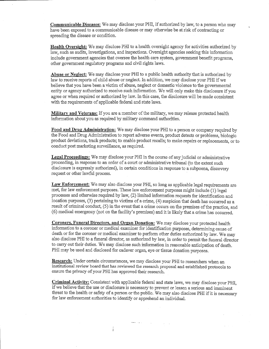**Communicable Diseases:** We may disclose your PHI, if authorized by law, to a person who may have been exposed to a communicable disease or may otherwise be at risk of contracting or spreading the disease or condition.

**Health Oversight:** We may disclose PHI to a health oversight agency for activities authorized by law, such as audits, investigations, and inspections. Oversight agencies seeking this information include government agencies that oversee the health care system, government benefit programs, other government regulatory programs and civil rights laws.

**Abuse or Neglect:** We may disclose your PHI to a public health authority that is authorized by law to receive reports of child abuse or neglect In addition, we may disclose your PHI if we believe that you have been a victim of abuse, neglect or domestic violence to the governmental entity or agency authorized to receive such information. We will only make this disclosure if you agree or when required or authorized by law. In this case, the disclosure will be made consistent with the requirements of applicable federal and state laws.

**Military and Veterans:** If you are a member of the military, we may release protected health information about yon as required by military command authorities.

**Food and Drag Administration:** We may disclose your PHI to a person or company required by the Food and Drug Administration to report adverse events, product detects or problems, biologic product deviations, track products; to enable product recalls; to make repairs or replacements, or to conduct post marketing surveillance, as required.

**Legal Proceedings:** We may disclose your PHI in the course of any judicial or administrative proceeding, in response to an order of a court or administrative tribunal (to the extent such disclosure is expressly authorized), in certain conditions in response to a subpoena, discovery request or other lawful process.

**Law Enforcement:** We may also disclose your PHI, so long as applicable legal requirements are met, for law enforcement purposes. These law enforcement purposes might include (1) legal processes and otherwise required by law, (2) limited information requests for identification and location purposes, (3) pertaining to victims of a crime, (4) suspicion that death has occurred as a result of criminal conduct, (5) in the event that a crime occurs on the premises of the practice, and (6) medical emergency (not on the facility's premises) and it is likely that a crime has occurred.

**Coroners, Funeral Directors, and Organ Donation:** We may disclose your protected health information to a coroner or medical examiner for identification purposes, determining cause of death or for the coroner or medical examiner to perform other duties authorized by law. We may also disclose PHI to a funeral director, as authorized by law, in order to permit the funeral director to carry out their duties. We may disclose such information in reasonable anticipation of death. PHI may be used and disclosed for cadaver organ, eye or tissue donation purposes.

**Research:** Under certain circumstances, we may disclose your PHI to researchers when an institutional review board that has reviewed the research proposal and established protocols to ensure the privacy of your PHI has approved their research.

**Criminal Activity:** Consistent with applicable federal and state laws, we may disclose your PHI, if we believe that the use or disclosure is necessary to prevent or lessen a serious and imminent threat to the health or safety of a person or the public. We may also disclose PHI if it is necessary for law enforcement authorities to identify or apprehend an individual.

المرادي والمتحج

 $\frac{1}{1}$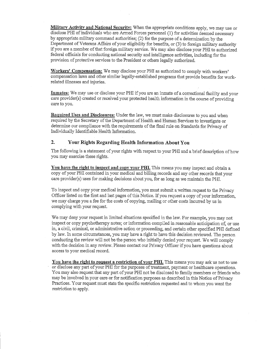**Military Activity and National Security:** When the appropriate conditions apply, we may use or disclose PHI of individuals who are Armed Forces personnel (1) for activities deemed necessary by appropriate military command authorities; (2) for the purpose of a determination by the Department of Veterans Affairs of your eligibility for benefits, or (3) to foreign military authority if you are a member of that foreign military service. We may also disclose your PHI to authorized federal officials for conducting national security and intelligence activities, including for the provision of protective services to the President or others legally authorized.

**Workers' Compensation:** We may disclose your PHI as authorized to comply with workers' compensation laws and other similar legally-established programs that provide benefits for workrelated illnesses and injuries,

**Inmates:** We may use or disclose your PHI if you are an inmate of a correctional facility and your care provider(s) created or received your protected health information in the course of providing care to you.

**Required** Uses **and Disclosures:** Under the law, we must make disclosures to you and when required by the Secretary of the Department of Health and Human Services to investigate or determine our compliance with the requirements of the final rule on Standards for Privacy of Individually Identifiable Health Information.

## **2, Your Rights Regarding Health Information About You**

The following is a statement of your rights with respect to your PHI and a brief description of how you may exercise these rights.

**You have the right to inspect and copy your PHL** This means you may inspect and obtain a copy of your PHI contained in your medical and billing records and any other records that your care provider(s) uses for making decisions about you, for as long as we maintain the PHI.

To inspect and copy your medical information, you must submit a written request to the Privacy Officer listed on the first and last pages of this Notice. If you request a copy of your information, we may charge you a fee for the costs of copying, mailing or other costs incurred by us in complying with your request.

We may deny your request in limited situations specified in the law. For example, you may not inspect or copy psychotherapy notes; or information compiled in reasonable anticipation of, or use in, a civil, criminal, or administrative action or proceeding, and certain other specified PHI defined by law. In some circumstances, you may have a right to have this decision reviewed. The person conducting the review will not be the person who initially denied your request. We will comply with the decision in any review. Please contact our Privacy Officer if you have questions about access to your medical record.

You have the right to request a restriction of your PHI. This means you may ask us not to use or disclose any part of your PHI for the purposes of treatment, payment or healthcare operations. You may also request that any part of your PHI not be disclosed to family members or friends who may be involved in your care or for notification purposes as described in this Notice of Privacy Practices. Your request must state the specific restriction requested and to whom you want the restriction to apply.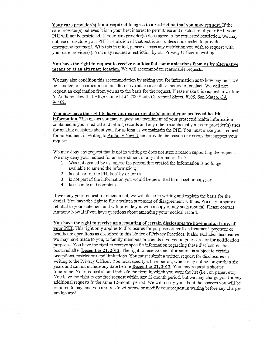**Your care provider(s) is not required to agree to a restriction that you may request.** If the care provider(s) believes it is in your best interest to permit use and disclosure of your PHI, your PHI will not be restricted. If your care provider(s) does agree to the requested restriction, we may not use or disclose your PHI in violation of that restriction unless it is needed to provide emergency treatment. With this in mind, please discuss any restriction you wish to request with your care provider(s). You may request a restriction by our Privacy Officer in writing.

#### **You have the right to request to receive confidential communications from us by alternative means or at an alternate location.** We will accommodate reasonable requests.

We may also condition this accommodation by asking you for information as to how payment will be handled or specification of an alternative address or other method of contact. We will not request an explanation from you as to the basis for the request Please make this request in writing to Anthony New II at Align Clinic *LLC,* 700 South Claremont Street #105. San Mateo. CA 94402.

#### You may have the right to have your care provider(s) amend your protected health

**information.** This means you may request an amendment of your protected health information contained in your medical and billing records and any other records that your care provider(s) uses for making decisions about you, for as long as we maintain the PHI. You must make your request for amendment in writing to Anthony New II and provide the reason or reasons that support your request.

We may deny any request that is not in writing or does not state a reason supporting the request. We may deny your request for an amendment of any information that:

- 1. Was not created by us, unless the person that created the information is no longer available to amend the information;
- 2. Is not part of the PHI kept by or for us;
- 3. Is not part of the information you would be permitted to inspect or copy; or
- 4. Is accurate and complete.

If we deny your request for amendment, we will do so in writing and explain the basis for the denial. You have the right to file a written statement of disagreement with us. We may prepare a rebuttal to your statement and will provide you with a copy of any such rebuttal. Please contact Anthony New  $\overline{II}$  if you have questions about amending your medical record.

### **You have the right to receive an accounting of certain disclosures we have made, if any, of**

**your PHI.** This right only applies to disclosures for purposes other than treatment, payment or healthcare operations as described in this Notice of Privacy Practices. It also excludes disclosures we may have made to you, to family members or friends involved in your care, or for notification purposes. You have the right to receive specific information regarding these disclosures that occurred after **December 21,2012.** The right to receive this information is subject to certain exceptions, restrictions and limitations. You must submit a written request for disclosures in writing to the Privacy Officer. You must specify a time period, which may not be longer than six years and cannot include any date before **December 21,2012.** You may request a shorter timeframe. Your request should indicate the form in which you want the list (i.e., on paper, etc). You have the right to one free request within any 12-month period, but we may charge you for any additional requests in the same 12-month period. We will notify you about the charges you will be required to pay, and you are free to withdraw or modify your request in writing before any charges are incurred.